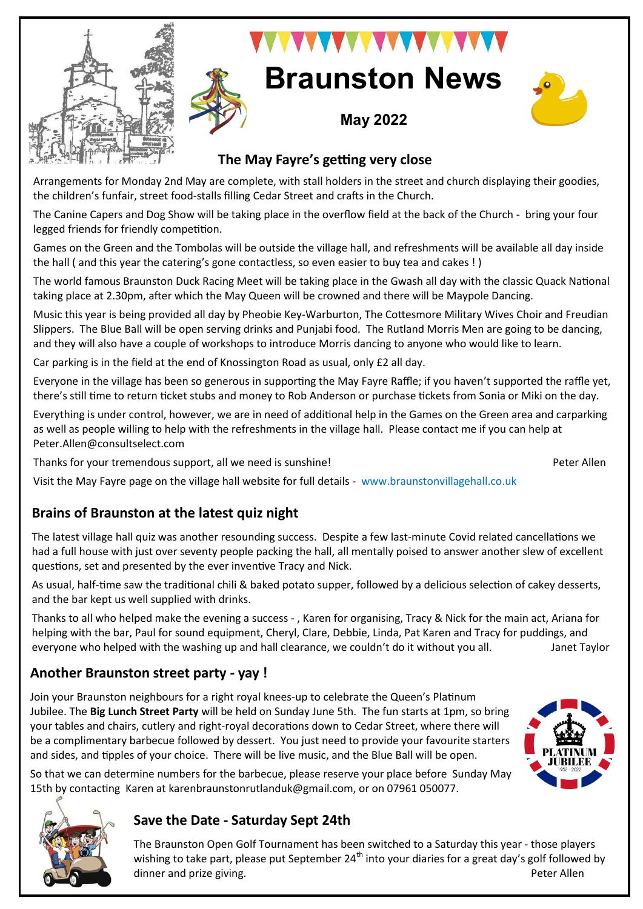



# **WAY YA XAYAYAY Braunston News**

**May 2022**

# **The May Fayre's getting very close**

Arrangements for Monday 2nd May are complete, with stall holders in the street and church displaying their goodies, the children's funfair, street food-stalls filling Cedar Street and crafts in the Church.

The Canine Capers and Dog Show will be taking place in the overflow field at the back of the Church - bring your four legged friends for friendly competition.

Games on the Green and the Tombolas will be outside the village hall, and refreshments will be available all day inside the hall ( and this year the catering's gone contactless, so even easier to buy tea and cakes ! )

The world famous Braunston Duck Racing Meet will be taking place in the Gwash all day with the classic Quack National taking place at 2.30pm, after which the May Queen will be crowned and there will be Maypole Dancing.

Music this year is being provided all day by Pheobie Key-Warburton, The Cottesmore Military Wives Choir and Freudian Slippers. The Blue Ball will be open serving drinks and Punjabi food. The Rutland Morris Men are going to be dancing, and they will also have a couple of workshops to introduce Morris dancing to anyone who would like to learn.

Car parking is in the field at the end of Knossington Road as usual, only £2 all day.

Everyone in the village has been so generous in supporting the May Fayre Raffle; if you haven't supported the raffle yet, there's still time to return ticket stubs and money to Rob Anderson or purchase tickets from Sonia or Miki on the day.

Everything is under control, however, we are in need of additional help in the Games on the Green area and carparking as well as people willing to help with the refreshments in the village hall. Please contact me if you can help at Peter.Allen@consultselect.com

Thanks for your tremendous support, all we need is sunshine!<br>
Peter Allen

Visit the May Fayre page on the village hall website for full details - www.braunstonvillagehall.co.uk

## **Brains of Braunston at the latest quiz night**

The latest village hall quiz was another resounding success. Despite a few last-minute Covid related cancellations we had a full house with just over seventy people packing the hall, all mentally poised to answer another slew of excellent questions, set and presented by the ever inventive Tracy and Nick.

As usual, half-time saw the traditional chili & baked potato supper, followed by a delicious selection of cakey desserts, and the bar kept us well supplied with drinks.

Thanks to all who helped make the evening a success - , Karen for organising, Tracy & Nick for the main act, Ariana for helping with the bar, Paul for sound equipment, Cheryl, Clare, Debbie, Linda, Pat Karen and Tracy for puddings, and everyone who helped with the washing up and hall clearance, we couldn't do it without you all. Janet Taylor

## **Another Braunston street party - yay !**

Join your Braunston neighbours for a right royal knees-up to celebrate the Queen's Platinum Jubilee. The **Big Lunch Street Party** will be held on Sunday June 5th. The fun starts at 1pm, so bring your tables and chairs, cutlery and right-royal decorations down to Cedar Street, where there will be a complimentary barbecue followed by dessert. You just need to provide your favourite starters and sides, and tipples of your choice. There will be live music, and the Blue Ball will be open.



#### **Save the Date - Saturday Sept 24th**

The Braunston Open Golf Tournament has been switched to a Saturday this year - those players wishing to take part, please put September  $24<sup>th</sup>$  into your diaries for a great day's golf followed by dinner and prize giving. The property of the prize of the prize of the property of the prize of the prize of the prize of the prize of the prize of the prize of the prize of the prize of the prize of the prize of the prize